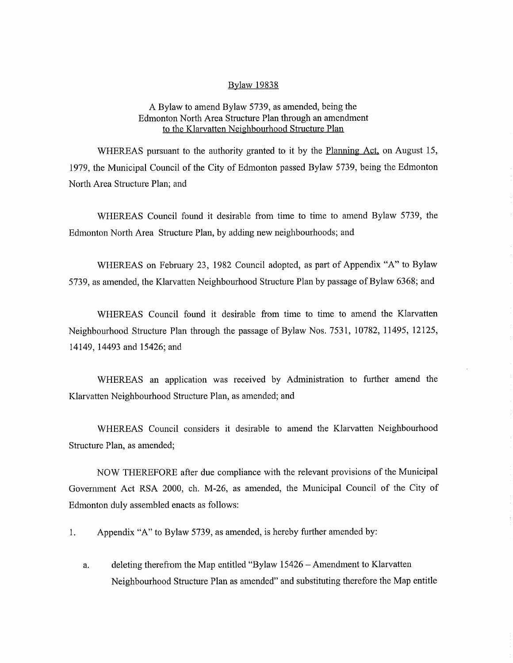## Bylaw 19838

## A Bylaw to amend Bylaw 5739, as amended, being the Edmonton North Area Structure Plan through an amendment to the Klarvatten Neighbourhood Structure Plan

WHEREAS pursuant to the authority granted to it by the Planning Act, on August 15, 1979, the Municipal Council of the City of Edmonton passed Bylaw 5739, being the Edmonton North Area Structure Plan; and

WHEREAS Council found it desirable from time to time to amend Bylaw 5739, the Edmonton North Area Structure Plan, by adding new neighbourhoods; and

WHEREAS on February 23, 1982 Council adopted, as part of Appendix "A" to Bylaw 5739, as amended, the Klarvatten Neighbourhood Structure Plan by passage of Bylaw 6368; and

WHEREAS Council found it desirable from time to time to amend the Klarvatten Neighbourhood Structure Plan through the passage of Bylaw Nos. 7531, 10782, 11495, 12125, 14149, 14493 and 15426; and

WHEREAS an application was received by Administration to further amend the Klarvatten Neighbourhood Structure Plan, as amended; and

WHEREAS Council considers it desirable to amend the Klarvatten Neighbourhood Structure Plan, as amended;

NOW THEREFORE after due compliance with the relevant provisions of the Municipal Government Act RSA 2000, ch. M-26, as amended, the Municipal Council of the City of Edmonton duly assembled enacts as follows:

1. Appendix "A" to Bylaw 5739, as amended, is hereby further amended by:

a. deleting therefrom the Map entitled "Bylaw 15426 — Amendment to Klarvatten Neighbourhood Structure Plan as amended" and substituting therefore the Map entitle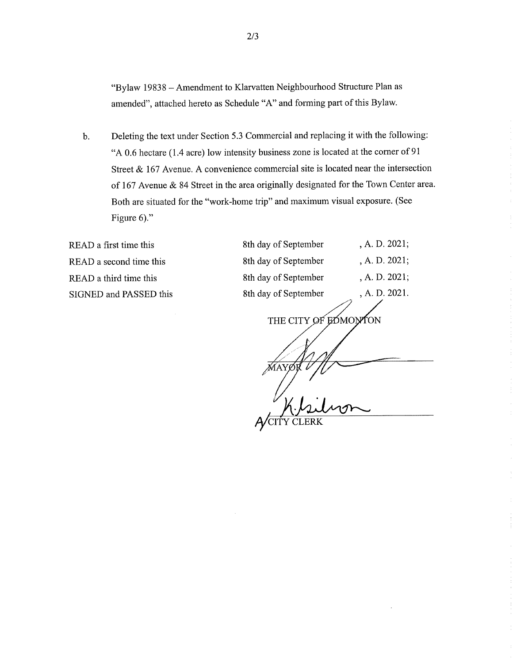"Bylaw 19838 — Amendment to Klarvatten Neighbourhood Structure Plan as amended", attached hereto as Schedule "A" and forming part of this Bylaw.

b. Deleting the text under Section 5.3 Commercial and replacing it with the following: "A 0.6 hectare (1.4 acre) low intensity business zone is located at the corner of 91 Street & 167 Avenue. A convenience commercial site is located near the intersection of 167 Avenue & 84 Street in the area originally designated for the Town Center area. Both are situated for the "work-home trip" and maximum visual exposure. (See Figure 6)."

READ a first time this READ a second time this READ a third time this SIGNED and PASSED this

| 8th day of September    | , A. D. 2021; |
|-------------------------|---------------|
| 8th day of September    | , A. D. 2021; |
| 8th day of September    | , A. D. 2021; |
| 8th day of September    | , A. D. 2021. |
| THE CITY OF EDMON<br>ΩN |               |
|                         |               |
|                         |               |